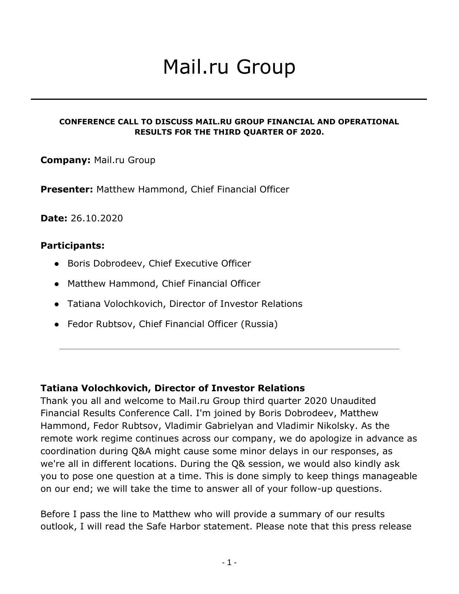# Mail.ru Group

#### **CONFERENCE CALL TO DISCUSS MAIL.RU GROUP FINANCIAL AND OPERATIONAL RESULTS FOR THE THIRD QUARTER OF 2020.**

**Company:** Mail.ru Group

**Presenter:** Matthew Hammond, Chief Financial Officer

**Date:** 26.10.2020

#### **Participants:**

- Boris Dobrodeev, Chief Executive Officer
- Matthew Hammond, Chief Financial Officer
- Tatiana Volochkovich, Director of Investor Relations
- Fedor Rubtsov, Chief Financial Officer (Russia)

#### **Tatiana Volochkovich, Director of Investor Relations**

Thank you all and welcome to Mail.ru Group third quarter 2020 Unaudited Financial Results Conference Call. I'm joined by Boris Dobrodeev, Matthew Hammond, Fedor Rubtsov, Vladimir Gabrielyan and Vladimir Nikolsky. As the remote work regime continues across our company, we do apologize in advance as coordination during Q&A might cause some minor delays in our responses, as we're all in different locations. During the Q& session, we would also kindly ask you to pose one question at a time. This is done simply to keep things manageable on our end; we will take the time to answer all of your follow-up questions.

Before I pass the line to Matthew who will provide a summary of our results outlook, I will read the Safe Harbor statement. Please note that this press release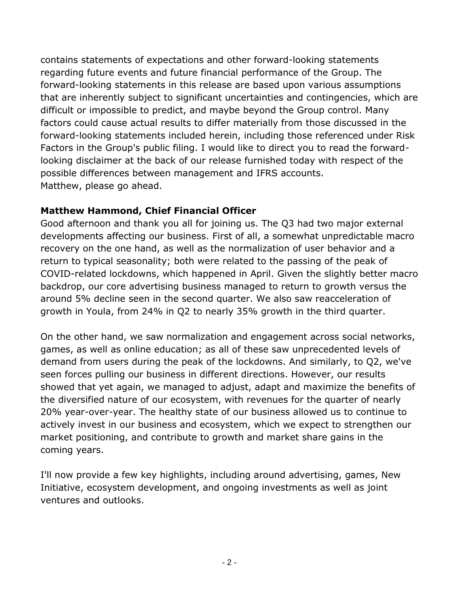contains statements of expectations and other forward-looking statements regarding future events and future financial performance of the Group. The forward-looking statements in this release are based upon various assumptions that are inherently subject to significant uncertainties and contingencies, which are difficult or impossible to predict, and maybe beyond the Group control. Many factors could cause actual results to differ materially from those discussed in the forward-looking statements included herein, including those referenced under Risk Factors in the Group's public filing. I would like to direct you to read the forwardlooking disclaimer at the back of our release furnished today with respect of the possible differences between management and IFRS accounts. Matthew, please go ahead.

## **Matthew Hammond, Chief Financial Officer**

Good afternoon and thank you all for joining us. The Q3 had two major external developments affecting our business. First of all, a somewhat unpredictable macro recovery on the one hand, as well as the normalization of user behavior and a return to typical seasonality; both were related to the passing of the peak of COVID-related lockdowns, which happened in April. Given the slightly better macro backdrop, our core advertising business managed to return to growth versus the around 5% decline seen in the second quarter. We also saw reacceleration of growth in Youla, from 24% in Q2 to nearly 35% growth in the third quarter.

On the other hand, we saw normalization and engagement across social networks, games, as well as online education; as all of these saw unprecedented levels of demand from users during the peak of the lockdowns. And similarly, to Q2, we've seen forces pulling our business in different directions. However, our results showed that yet again, we managed to adjust, adapt and maximize the benefits of the diversified nature of our ecosystem, with revenues for the quarter of nearly 20% year-over-year. The healthy state of our business allowed us to continue to actively invest in our business and ecosystem, which we expect to strengthen our market positioning, and contribute to growth and market share gains in the coming years.

I'll now provide a few key highlights, including around advertising, games, New Initiative, ecosystem development, and ongoing investments as well as joint ventures and outlooks.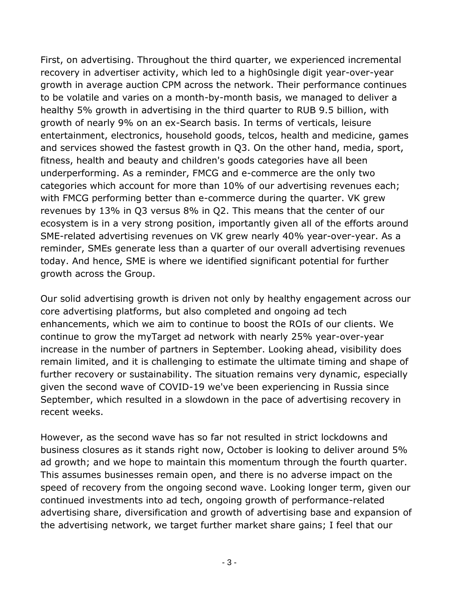First, on advertising. Throughout the third quarter, we experienced incremental recovery in advertiser activity, which led to a high0single digit year-over-year growth in average auction CPM across the network. Their performance continues to be volatile and varies on a month-by-month basis, we managed to deliver a healthy 5% growth in advertising in the third quarter to RUB 9.5 billion, with growth of nearly 9% on an ex-Search basis. In terms of verticals, leisure entertainment, electronics, household goods, telcos, health and medicine, games and services showed the fastest growth in Q3. On the other hand, media, sport, fitness, health and beauty and children's goods categories have all been underperforming. As a reminder, FMCG and e-commerce are the only two categories which account for more than 10% of our advertising revenues each; with FMCG performing better than e-commerce during the quarter. VK grew revenues by 13% in Q3 versus 8% in Q2. This means that the center of our ecosystem is in a very strong position, importantly given all of the efforts around SME-related advertising revenues on VK grew nearly 40% year-over-year. As a reminder, SMEs generate less than a quarter of our overall advertising revenues today. And hence, SME is where we identified significant potential for further growth across the Group.

Our solid advertising growth is driven not only by healthy engagement across our core advertising platforms, but also completed and ongoing ad tech enhancements, which we aim to continue to boost the ROIs of our clients. We continue to grow the myTarget ad network with nearly 25% year-over-year increase in the number of partners in September. Looking ahead, visibility does remain limited, and it is challenging to estimate the ultimate timing and shape of further recovery or sustainability. The situation remains very dynamic, especially given the second wave of COVID-19 we've been experiencing in Russia since September, which resulted in a slowdown in the pace of advertising recovery in recent weeks.

However, as the second wave has so far not resulted in strict lockdowns and business closures as it stands right now, October is looking to deliver around 5% ad growth; and we hope to maintain this momentum through the fourth quarter. This assumes businesses remain open, and there is no adverse impact on the speed of recovery from the ongoing second wave. Looking longer term, given our continued investments into ad tech, ongoing growth of performance-related advertising share, diversification and growth of advertising base and expansion of the advertising network, we target further market share gains; I feel that our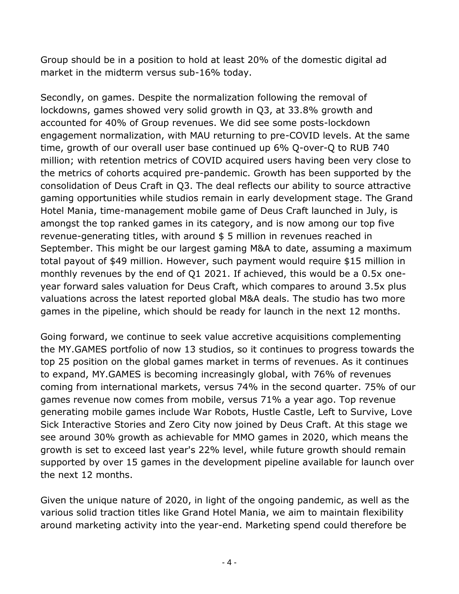Group should be in a position to hold at least 20% of the domestic digital ad market in the midterm versus sub-16% today.

Secondly, on games. Despite the normalization following the removal of lockdowns, games showed very solid growth in Q3, at 33.8% growth and accounted for 40% of Group revenues. We did see some posts-lockdown engagement normalization, with MAU returning to pre-COVID levels. At the same time, growth of our overall user base continued up 6% Q-over-Q to RUB 740 million; with retention metrics of COVID acquired users having been very close to the metrics of cohorts acquired pre-pandemic. Growth has been supported by the consolidation of Deus Craft in Q3. The deal reflects our ability to source attractive gaming opportunities while studios remain in early development stage. The Grand Hotel Mania, time-management mobile game of Deus Craft launched in July, is amongst the top ranked games in its category, and is now among our top five revenue-generating titles, with around \$ 5 million in revenues reached in September. This might be our largest gaming M&A to date, assuming a maximum total payout of \$49 million. However, such payment would require \$15 million in monthly revenues by the end of Q1 2021. If achieved, this would be a 0.5x oneyear forward sales valuation for Deus Craft, which compares to around 3.5x plus valuations across the latest reported global M&A deals. The studio has two more games in the pipeline, which should be ready for launch in the next 12 months.

Going forward, we continue to seek value accretive acquisitions complementing the MY.GAMES portfolio of now 13 studios, so it continues to progress towards the top 25 position on the global games market in terms of revenues. As it continues to expand, MY.GAMES is becoming increasingly global, with 76% of revenues coming from international markets, versus 74% in the second quarter. 75% of our games revenue now comes from mobile, versus 71% a year ago. Top revenue generating mobile games include War Robots, Hustle Castle, Left to Survive, Love Sick Interactive Stories and Zero City now joined by Deus Craft. At this stage we see around 30% growth as achievable for MMO games in 2020, which means the growth is set to exceed last year's 22% level, while future growth should remain supported by over 15 games in the development pipeline available for launch over the next 12 months.

Given the unique nature of 2020, in light of the ongoing pandemic, as well as the various solid traction titles like Grand Hotel Mania, we aim to maintain flexibility around marketing activity into the year-end. Marketing spend could therefore be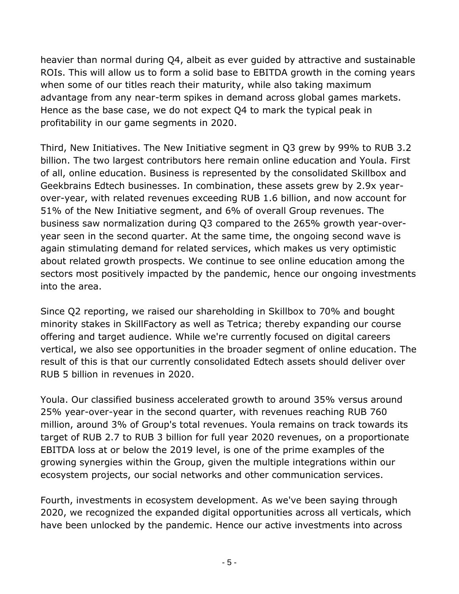heavier than normal during Q4, albeit as ever guided by attractive and sustainable ROIs. This will allow us to form a solid base to EBITDA growth in the coming years when some of our titles reach their maturity, while also taking maximum advantage from any near-term spikes in demand across global games markets. Hence as the base case, we do not expect Q4 to mark the typical peak in profitability in our game segments in 2020.

Third, New Initiatives. The New Initiative segment in Q3 grew by 99% to RUB 3.2 billion. The two largest contributors here remain online education and Youla. First of all, online education. Business is represented by the consolidated Skillbox and Geekbrains Edtech businesses. In combination, these assets grew by 2.9x yearover-year, with related revenues exceeding RUB 1.6 billion, and now account for 51% of the New Initiative segment, and 6% of overall Group revenues. The business saw normalization during Q3 compared to the 265% growth year-overyear seen in the second quarter. At the same time, the ongoing second wave is again stimulating demand for related services, which makes us very optimistic about related growth prospects. We continue to see online education among the sectors most positively impacted by the pandemic, hence our ongoing investments into the area.

Since Q2 reporting, we raised our shareholding in Skillbox to 70% and bought minority stakes in SkillFactory as well as Tetrica; thereby expanding our course offering and target audience. While we're currently focused on digital careers vertical, we also see opportunities in the broader segment of online education. The result of this is that our currently consolidated Edtech assets should deliver over RUB 5 billion in revenues in 2020.

Youla. Our classified business accelerated growth to around 35% versus around 25% year-over-year in the second quarter, with revenues reaching RUB 760 million, around 3% of Group's total revenues. Youla remains on track towards its target of RUB 2.7 to RUB 3 billion for full year 2020 revenues, on a proportionate EBITDA loss at or below the 2019 level, is one of the prime examples of the growing synergies within the Group, given the multiple integrations within our ecosystem projects, our social networks and other communication services.

Fourth, investments in ecosystem development. As we've been saying through 2020, we recognized the expanded digital opportunities across all verticals, which have been unlocked by the pandemic. Hence our active investments into across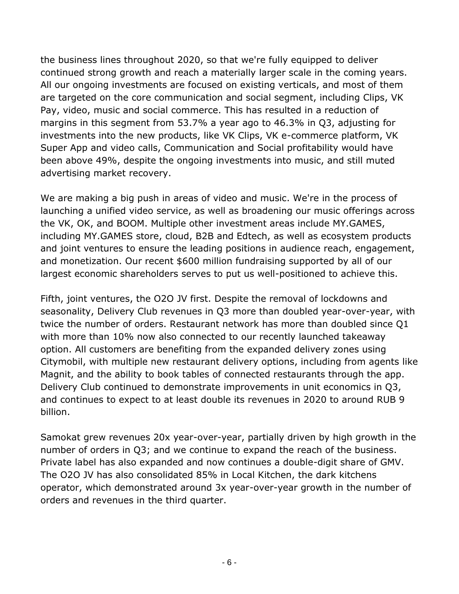the business lines throughout 2020, so that we're fully equipped to deliver continued strong growth and reach a materially larger scale in the coming years. All our ongoing investments are focused on existing verticals, and most of them are targeted on the core communication and social segment, including Clips, VK Pay, video, music and social commerce. This has resulted in a reduction of margins in this segment from 53.7% a year ago to 46.3% in Q3, adjusting for investments into the new products, like VK Clips, VK e-commerce platform, VK Super App and video calls, Communication and Social profitability would have been above 49%, despite the ongoing investments into music, and still muted advertising market recovery.

We are making a big push in areas of video and music. We're in the process of launching a unified video service, as well as broadening our music offerings across the VK, OK, and BOOM. Multiple other investment areas include MY.GAMES, including MY.GAMES store, cloud, B2B and Edtech, as well as ecosystem products and joint ventures to ensure the leading positions in audience reach, engagement, and monetization. Our recent \$600 million fundraising supported by all of our largest economic shareholders serves to put us well-positioned to achieve this.

Fifth, joint ventures, the O2O JV first. Despite the removal of lockdowns and seasonality, Delivery Club revenues in Q3 more than doubled year-over-year, with twice the number of orders. Restaurant network has more than doubled since Q1 with more than 10% now also connected to our recently launched takeaway option. All customers are benefiting from the expanded delivery zones using Citymobil, with multiple new restaurant delivery options, including from agents like Magnit, and the ability to book tables of connected restaurants through the app. Delivery Club continued to demonstrate improvements in unit economics in Q3, and continues to expect to at least double its revenues in 2020 to around RUB 9 billion.

Samokat grew revenues 20x year-over-year, partially driven by high growth in the number of orders in Q3; and we continue to expand the reach of the business. Private label has also expanded and now continues a double-digit share of GMV. The O2O JV has also consolidated 85% in Local Kitchen, the dark kitchens operator, which demonstrated around 3x year-over-year growth in the number of orders and revenues in the third quarter.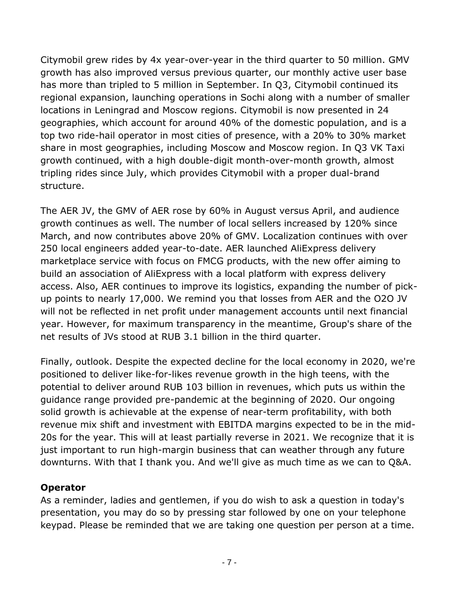Citymobil grew rides by 4x year-over-year in the third quarter to 50 million. GMV growth has also improved versus previous quarter, our monthly active user base has more than tripled to 5 million in September. In Q3, Citymobil continued its regional expansion, launching operations in Sochi along with a number of smaller locations in Leningrad and Moscow regions. Citymobil is now presented in 24 geographies, which account for around 40% of the domestic population, and is a top two ride-hail operator in most cities of presence, with a 20% to 30% market share in most geographies, including Moscow and Moscow region. In Q3 VK Taxi growth continued, with a high double-digit month-over-month growth, almost tripling rides since July, which provides Citymobil with a proper dual-brand structure.

The AER JV, the GMV of AER rose by 60% in August versus April, and audience growth continues as well. The number of local sellers increased by 120% since March, and now contributes above 20% of GMV. Localization continues with over 250 local engineers added year-to-date. AER launched AliExpress delivery marketplace service with focus on FMCG products, with the new offer aiming to build an association of AliExpress with a local platform with express delivery access. Also, AER continues to improve its logistics, expanding the number of pickup points to nearly 17,000. We remind you that losses from AER and the O2O JV will not be reflected in net profit under management accounts until next financial year. However, for maximum transparency in the meantime, Group's share of the net results of JVs stood at RUB 3.1 billion in the third quarter.

Finally, outlook. Despite the expected decline for the local economy in 2020, we're positioned to deliver like-for-likes revenue growth in the high teens, with the potential to deliver around RUB 103 billion in revenues, which puts us within the guidance range provided pre-pandemic at the beginning of 2020. Our ongoing solid growth is achievable at the expense of near-term profitability, with both revenue mix shift and investment with EBITDA margins expected to be in the mid-20s for the year. This will at least partially reverse in 2021. We recognize that it is just important to run high-margin business that can weather through any future downturns. With that I thank you. And we'll give as much time as we can to Q&A.

#### **Operator**

As a reminder, ladies and gentlemen, if you do wish to ask a question in today's presentation, you may do so by pressing star followed by one on your telephone keypad. Please be reminded that we are taking one question per person at a time.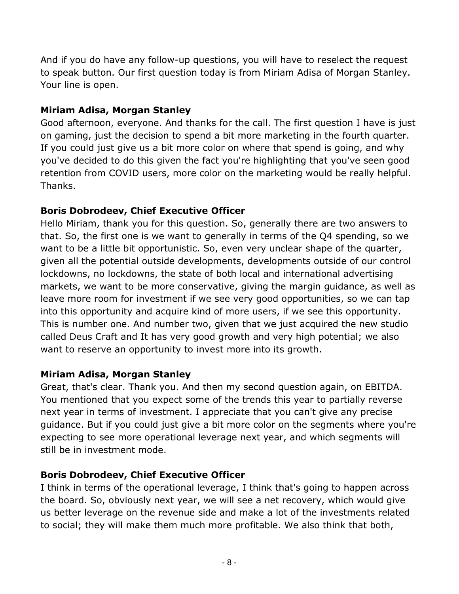And if you do have any follow-up questions, you will have to reselect the request to speak button. Our first question today is from Miriam Adisa of Morgan Stanley. Your line is open.

## **Miriam Adisa, Morgan Stanley**

Good afternoon, everyone. And thanks for the call. The first question I have is just on gaming, just the decision to spend a bit more marketing in the fourth quarter. If you could just give us a bit more color on where that spend is going, and why you've decided to do this given the fact you're highlighting that you've seen good retention from COVID users, more color on the marketing would be really helpful. Thanks.

## **Boris Dobrodeev, Chief Executive Officer**

Hello Miriam, thank you for this question. So, generally there are two answers to that. So, the first one is we want to generally in terms of the Q4 spending, so we want to be a little bit opportunistic. So, even very unclear shape of the quarter, given all the potential outside developments, developments outside of our control lockdowns, no lockdowns, the state of both local and international advertising markets, we want to be more conservative, giving the margin guidance, as well as leave more room for investment if we see very good opportunities, so we can tap into this opportunity and acquire kind of more users, if we see this opportunity. This is number one. And number two, given that we just acquired the new studio called Deus Craft and It has very good growth and very high potential; we also want to reserve an opportunity to invest more into its growth.

# **Miriam Adisa, Morgan Stanley**

Great, that's clear. Thank you. And then my second question again, on EBITDA. You mentioned that you expect some of the trends this year to partially reverse next year in terms of investment. I appreciate that you can't give any precise guidance. But if you could just give a bit more color on the segments where you're expecting to see more operational leverage next year, and which segments will still be in investment mode.

## **Boris Dobrodeev, Chief Executive Officer**

I think in terms of the operational leverage, I think that's going to happen across the board. So, obviously next year, we will see a net recovery, which would give us better leverage on the revenue side and make a lot of the investments related to social; they will make them much more profitable. We also think that both,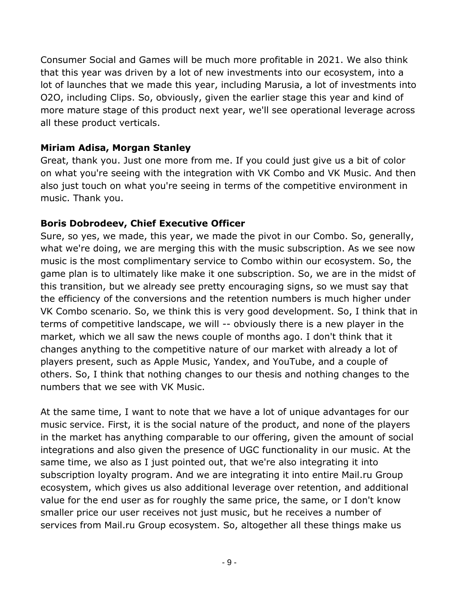Consumer Social and Games will be much more profitable in 2021. We also think that this year was driven by a lot of new investments into our ecosystem, into a lot of launches that we made this year, including Marusia, a lot of investments into O2O, including Clips. So, obviously, given the earlier stage this year and kind of more mature stage of this product next year, we'll see operational leverage across all these product verticals.

## **Miriam Adisa, Morgan Stanley**

Great, thank you. Just one more from me. If you could just give us a bit of color on what you're seeing with the integration with VK Combo and VK Music. And then also just touch on what you're seeing in terms of the competitive environment in music. Thank you.

## **Boris Dobrodeev, Chief Executive Officer**

Sure, so yes, we made, this year, we made the pivot in our Combo. So, generally, what we're doing, we are merging this with the music subscription. As we see now music is the most complimentary service to Combo within our ecosystem. So, the game plan is to ultimately like make it one subscription. So, we are in the midst of this transition, but we already see pretty encouraging signs, so we must say that the efficiency of the conversions and the retention numbers is much higher under VK Combo scenario. So, we think this is very good development. So, I think that in terms of competitive landscape, we will -- obviously there is a new player in the market, which we all saw the news couple of months ago. I don't think that it changes anything to the competitive nature of our market with already a lot of players present, such as Apple Music, Yandex, and YouTube, and a couple of others. So, I think that nothing changes to our thesis and nothing changes to the numbers that we see with VK Music.

At the same time, I want to note that we have a lot of unique advantages for our music service. First, it is the social nature of the product, and none of the players in the market has anything comparable to our offering, given the amount of social integrations and also given the presence of UGC functionality in our music. At the same time, we also as I just pointed out, that we're also integrating it into subscription loyalty program. And we are integrating it into entire Mail.ru Group ecosystem, which gives us also additional leverage over retention, and additional value for the end user as for roughly the same price, the same, or I don't know smaller price our user receives not just music, but he receives a number of services from Mail.ru Group ecosystem. So, altogether all these things make us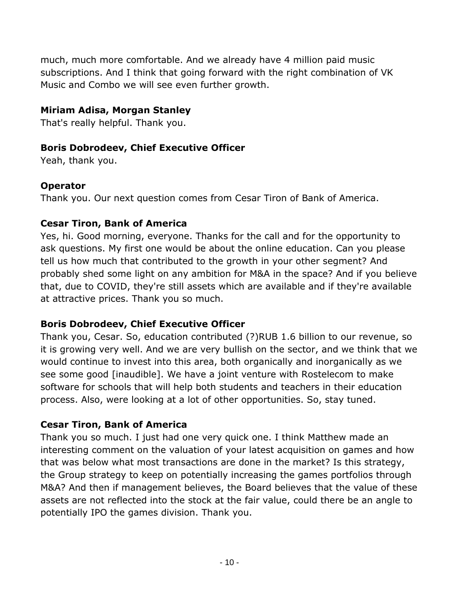much, much more comfortable. And we already have 4 million paid music subscriptions. And I think that going forward with the right combination of VK Music and Combo we will see even further growth.

## **Miriam Adisa, Morgan Stanley**

That's really helpful. Thank you.

## **Boris Dobrodeev, Chief Executive Officer**

Yeah, thank you.

## **Operator**

Thank you. Our next question comes from Cesar Tiron of Bank of America.

## **Cesar Tiron, Bank of America**

Yes, hi. Good morning, everyone. Thanks for the call and for the opportunity to ask questions. My first one would be about the online education. Can you please tell us how much that contributed to the growth in your other segment? And probably shed some light on any ambition for M&A in the space? And if you believe that, due to COVID, they're still assets which are available and if they're available at attractive prices. Thank you so much.

## **Boris Dobrodeev, Chief Executive Officer**

Thank you, Cesar. So, education contributed (?)RUB 1.6 billion to our revenue, so it is growing very well. And we are very bullish on the sector, and we think that we would continue to invest into this area, both organically and inorganically as we see some good [inaudible]. We have a joint venture with Rostelecom to make software for schools that will help both students and teachers in their education process. Also, were looking at a lot of other opportunities. So, stay tuned.

## **Cesar Tiron, Bank of America**

Thank you so much. I just had one very quick one. I think Matthew made an interesting comment on the valuation of your latest acquisition on games and how that was below what most transactions are done in the market? Is this strategy, the Group strategy to keep on potentially increasing the games portfolios through M&A? And then if management believes, the Board believes that the value of these assets are not reflected into the stock at the fair value, could there be an angle to potentially IPO the games division. Thank you.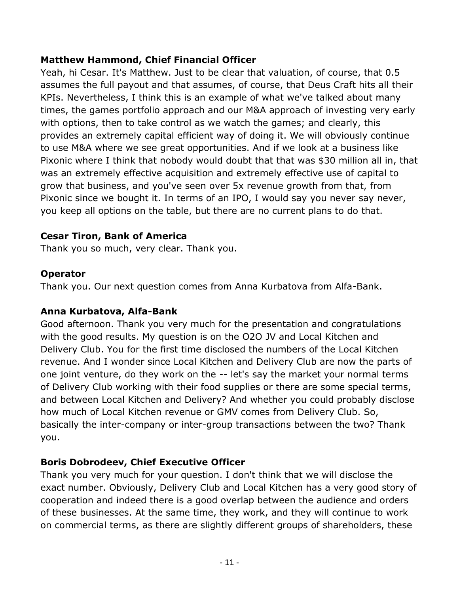## **Matthew Hammond, Chief Financial Officer**

Yeah, hi Cesar. It's Matthew. Just to be clear that valuation, of course, that 0.5 assumes the full payout and that assumes, of course, that Deus Craft hits all their KPIs. Nevertheless, I think this is an example of what we've talked about many times, the games portfolio approach and our M&A approach of investing very early with options, then to take control as we watch the games; and clearly, this provides an extremely capital efficient way of doing it. We will obviously continue to use M&A where we see great opportunities. And if we look at a business like Pixonic where I think that nobody would doubt that that was \$30 million all in, that was an extremely effective acquisition and extremely effective use of capital to grow that business, and you've seen over 5x revenue growth from that, from Pixonic since we bought it. In terms of an IPO, I would say you never say never, you keep all options on the table, but there are no current plans to do that.

## **Cesar Tiron, Bank of America**

Thank you so much, very clear. Thank you.

## **Operator**

Thank you. Our next question comes from Anna Kurbatova from Alfa-Bank.

## **Anna Kurbatova, Alfa-Bank**

Good afternoon. Thank you very much for the presentation and congratulations with the good results. My question is on the O2O JV and Local Kitchen and Delivery Club. You for the first time disclosed the numbers of the Local Kitchen revenue. And I wonder since Local Kitchen and Delivery Club are now the parts of one joint venture, do they work on the -- let's say the market your normal terms of Delivery Club working with their food supplies or there are some special terms, and between Local Kitchen and Delivery? And whether you could probably disclose how much of Local Kitchen revenue or GMV comes from Delivery Club. So, basically the inter-company or inter-group transactions between the two? Thank you.

## **Boris Dobrodeev, Chief Executive Officer**

Thank you very much for your question. I don't think that we will disclose the exact number. Obviously, Delivery Club and Local Kitchen has a very good story of cooperation and indeed there is a good overlap between the audience and orders of these businesses. At the same time, they work, and they will continue to work on commercial terms, as there are slightly different groups of shareholders, these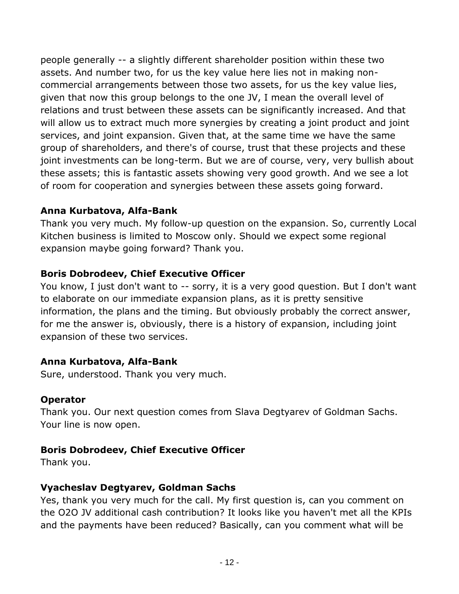people generally -- a slightly different shareholder position within these two assets. And number two, for us the key value here lies not in making noncommercial arrangements between those two assets, for us the key value lies, given that now this group belongs to the one JV, I mean the overall level of relations and trust between these assets can be significantly increased. And that will allow us to extract much more synergies by creating a joint product and joint services, and joint expansion. Given that, at the same time we have the same group of shareholders, and there's of course, trust that these projects and these joint investments can be long-term. But we are of course, very, very bullish about these assets; this is fantastic assets showing very good growth. And we see a lot of room for cooperation and synergies between these assets going forward.

## **Anna Kurbatova, Alfa-Bank**

Thank you very much. My follow-up question on the expansion. So, currently Local Kitchen business is limited to Moscow only. Should we expect some regional expansion maybe going forward? Thank you.

## **Boris Dobrodeev, Chief Executive Officer**

You know, I just don't want to -- sorry, it is a very good question. But I don't want to elaborate on our immediate expansion plans, as it is pretty sensitive information, the plans and the timing. But obviously probably the correct answer, for me the answer is, obviously, there is a history of expansion, including joint expansion of these two services.

## **Anna Kurbatova, Alfa-Bank**

Sure, understood. Thank you very much.

## **Operator**

Thank you. Our next question comes from Slava Degtyarev of Goldman Sachs. Your line is now open.

# **Boris Dobrodeev, Chief Executive Officer**

Thank you.

## **Vyacheslav Degtyarev, Goldman Sachs**

Yes, thank you very much for the call. My first question is, can you comment on the O2O JV additional cash contribution? It looks like you haven't met all the KPIs and the payments have been reduced? Basically, can you comment what will be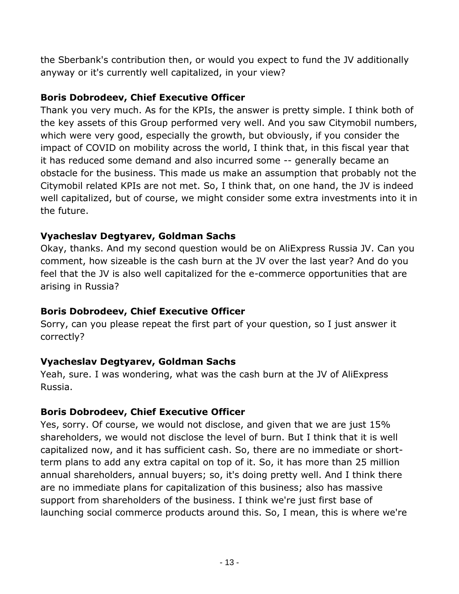the Sberbank's contribution then, or would you expect to fund the JV additionally anyway or it's currently well capitalized, in your view?

## **Boris Dobrodeev, Chief Executive Officer**

Thank you very much. As for the KPIs, the answer is pretty simple. I think both of the key assets of this Group performed very well. And you saw Citymobil numbers, which were very good, especially the growth, but obviously, if you consider the impact of COVID on mobility across the world, I think that, in this fiscal year that it has reduced some demand and also incurred some -- generally became an obstacle for the business. This made us make an assumption that probably not the Citymobil related KPIs are not met. So, I think that, on one hand, the JV is indeed well capitalized, but of course, we might consider some extra investments into it in the future.

## **Vyacheslav Degtyarev, Goldman Sachs**

Okay, thanks. And my second question would be on AliExpress Russia JV. Can you comment, how sizeable is the cash burn at the JV over the last year? And do you feel that the JV is also well capitalized for the e-commerce opportunities that are arising in Russia?

## **Boris Dobrodeev, Chief Executive Officer**

Sorry, can you please repeat the first part of your question, so I just answer it correctly?

## **Vyacheslav Degtyarev, Goldman Sachs**

Yeah, sure. I was wondering, what was the cash burn at the JV of AliExpress Russia.

## **Boris Dobrodeev, Chief Executive Officer**

Yes, sorry. Of course, we would not disclose, and given that we are just 15% shareholders, we would not disclose the level of burn. But I think that it is well capitalized now, and it has sufficient cash. So, there are no immediate or shortterm plans to add any extra capital on top of it. So, it has more than 25 million annual shareholders, annual buyers; so, it's doing pretty well. And I think there are no immediate plans for capitalization of this business; also has massive support from shareholders of the business. I think we're just first base of launching social commerce products around this. So, I mean, this is where we're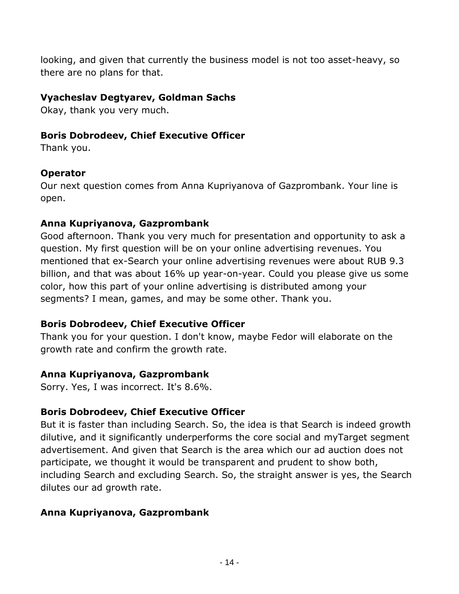looking, and given that currently the business model is not too asset-heavy, so there are no plans for that.

#### **Vyacheslav Degtyarev, Goldman Sachs**

Okay, thank you very much.

## **Boris Dobrodeev, Chief Executive Officer**

Thank you.

## **Operator**

Our next question comes from Anna Kupriyanova of Gazprombank. Your line is open.

## **Anna Kupriyanova, Gazprombank**

Good afternoon. Thank you very much for presentation and opportunity to ask a question. My first question will be on your online advertising revenues. You mentioned that ex-Search your online advertising revenues were about RUB 9.3 billion, and that was about 16% up year-on-year. Could you please give us some color, how this part of your online advertising is distributed among your segments? I mean, games, and may be some other. Thank you.

## **Boris Dobrodeev, Chief Executive Officer**

Thank you for your question. I don't know, maybe Fedor will elaborate on the growth rate and confirm the growth rate.

# **Anna Kupriyanova, Gazprombank**

Sorry. Yes, I was incorrect. It's 8.6%.

# **Boris Dobrodeev, Chief Executive Officer**

But it is faster than including Search. So, the idea is that Search is indeed growth dilutive, and it significantly underperforms the core social and myTarget segment advertisement. And given that Search is the area which our ad auction does not participate, we thought it would be transparent and prudent to show both, including Search and excluding Search. So, the straight answer is yes, the Search dilutes our ad growth rate.

# **Anna Kupriyanova, Gazprombank**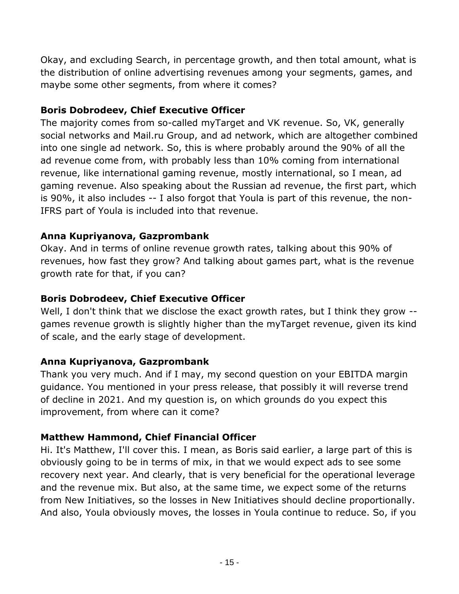Okay, and excluding Search, in percentage growth, and then total amount, what is the distribution of online advertising revenues among your segments, games, and maybe some other segments, from where it comes?

## **Boris Dobrodeev, Chief Executive Officer**

The majority comes from so-called myTarget and VK revenue. So, VK, generally social networks and Mail.ru Group, and ad network, which are altogether combined into one single ad network. So, this is where probably around the 90% of all the ad revenue come from, with probably less than 10% coming from international revenue, like international gaming revenue, mostly international, so I mean, ad gaming revenue. Also speaking about the Russian ad revenue, the first part, which is 90%, it also includes -- I also forgot that Youla is part of this revenue, the non-IFRS part of Youla is included into that revenue.

## **Anna Kupriyanova, Gazprombank**

Okay. And in terms of online revenue growth rates, talking about this 90% of revenues, how fast they grow? And talking about games part, what is the revenue growth rate for that, if you can?

#### **Boris Dobrodeev, Chief Executive Officer**

Well, I don't think that we disclose the exact growth rates, but I think they grow -games revenue growth is slightly higher than the myTarget revenue, given its kind of scale, and the early stage of development.

#### **Anna Kupriyanova, Gazprombank**

Thank you very much. And if I may, my second question on your EBITDA margin guidance. You mentioned in your press release, that possibly it will reverse trend of decline in 2021. And my question is, on which grounds do you expect this improvement, from where can it come?

## **Matthew Hammond, Chief Financial Officer**

Hi. It's Matthew, I'll cover this. I mean, as Boris said earlier, a large part of this is obviously going to be in terms of mix, in that we would expect ads to see some recovery next year. And clearly, that is very beneficial for the operational leverage and the revenue mix. But also, at the same time, we expect some of the returns from New Initiatives, so the losses in New Initiatives should decline proportionally. And also, Youla obviously moves, the losses in Youla continue to reduce. So, if you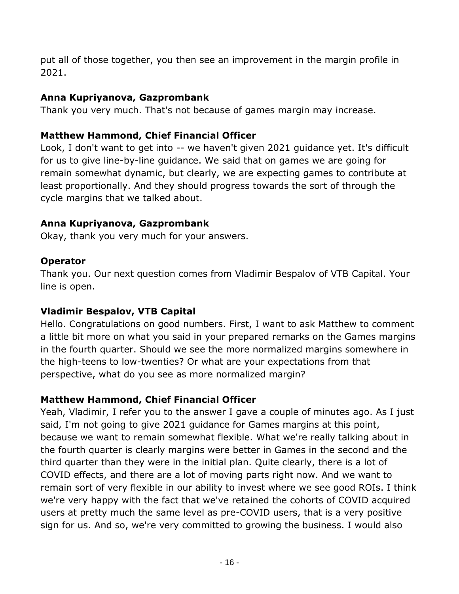put all of those together, you then see an improvement in the margin profile in 2021.

## **Anna Kupriyanova, Gazprombank**

Thank you very much. That's not because of games margin may increase.

## **Matthew Hammond, Chief Financial Officer**

Look, I don't want to get into -- we haven't given 2021 guidance yet. It's difficult for us to give line-by-line guidance. We said that on games we are going for remain somewhat dynamic, but clearly, we are expecting games to contribute at least proportionally. And they should progress towards the sort of through the cycle margins that we talked about.

## **Anna Kupriyanova, Gazprombank**

Okay, thank you very much for your answers.

#### **Operator**

Thank you. Our next question comes from Vladimir Bespalov of VTB Capital. Your line is open.

## **Vladimir Bespalov, VTB Capital**

Hello. Congratulations on good numbers. First, I want to ask Matthew to comment a little bit more on what you said in your prepared remarks on the Games margins in the fourth quarter. Should we see the more normalized margins somewhere in the high-teens to low-twenties? Or what are your expectations from that perspective, what do you see as more normalized margin?

#### **Matthew Hammond, Chief Financial Officer**

Yeah, Vladimir, I refer you to the answer I gave a couple of minutes ago. As I just said, I'm not going to give 2021 guidance for Games margins at this point, because we want to remain somewhat flexible. What we're really talking about in the fourth quarter is clearly margins were better in Games in the second and the third quarter than they were in the initial plan. Quite clearly, there is a lot of COVID effects, and there are a lot of moving parts right now. And we want to remain sort of very flexible in our ability to invest where we see good ROIs. I think we're very happy with the fact that we've retained the cohorts of COVID acquired users at pretty much the same level as pre-COVID users, that is a very positive sign for us. And so, we're very committed to growing the business. I would also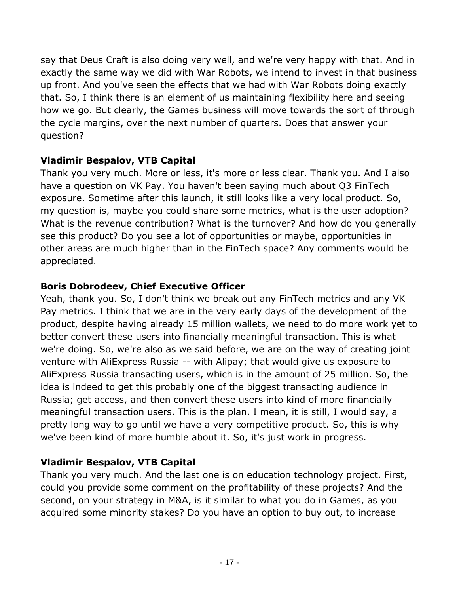say that Deus Craft is also doing very well, and we're very happy with that. And in exactly the same way we did with War Robots, we intend to invest in that business up front. And you've seen the effects that we had with War Robots doing exactly that. So, I think there is an element of us maintaining flexibility here and seeing how we go. But clearly, the Games business will move towards the sort of through the cycle margins, over the next number of quarters. Does that answer your question?

## **Vladimir Bespalov, VTB Capital**

Thank you very much. More or less, it's more or less clear. Thank you. And I also have a question on VK Pay. You haven't been saying much about Q3 FinTech exposure. Sometime after this launch, it still looks like a very local product. So, my question is, maybe you could share some metrics, what is the user adoption? What is the revenue contribution? What is the turnover? And how do you generally see this product? Do you see a lot of opportunities or maybe, opportunities in other areas are much higher than in the FinTech space? Any comments would be appreciated.

## **Boris Dobrodeev, Chief Executive Officer**

Yeah, thank you. So, I don't think we break out any FinTech metrics and any VK Pay metrics. I think that we are in the very early days of the development of the product, despite having already 15 million wallets, we need to do more work yet to better convert these users into financially meaningful transaction. This is what we're doing. So, we're also as we said before, we are on the way of creating joint venture with AliExpress Russia -- with Alipay; that would give us exposure to AliExpress Russia transacting users, which is in the amount of 25 million. So, the idea is indeed to get this probably one of the biggest transacting audience in Russia; get access, and then convert these users into kind of more financially meaningful transaction users. This is the plan. I mean, it is still, I would say, a pretty long way to go until we have a very competitive product. So, this is why we've been kind of more humble about it. So, it's just work in progress.

## **Vladimir Bespalov, VTB Capital**

Thank you very much. And the last one is on education technology project. First, could you provide some comment on the profitability of these projects? And the second, on your strategy in M&A, is it similar to what you do in Games, as you acquired some minority stakes? Do you have an option to buy out, to increase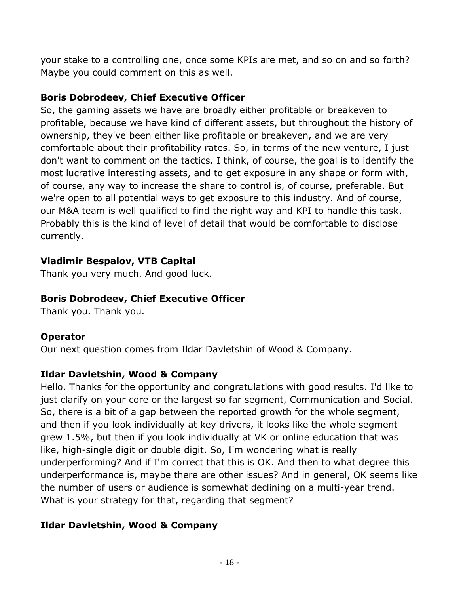your stake to a controlling one, once some KPIs are met, and so on and so forth? Maybe you could comment on this as well.

## **Boris Dobrodeev, Chief Executive Officer**

So, the gaming assets we have are broadly either profitable or breakeven to profitable, because we have kind of different assets, but throughout the history of ownership, they've been either like profitable or breakeven, and we are very comfortable about their profitability rates. So, in terms of the new venture, I just don't want to comment on the tactics. I think, of course, the goal is to identify the most lucrative interesting assets, and to get exposure in any shape or form with, of course, any way to increase the share to control is, of course, preferable. But we're open to all potential ways to get exposure to this industry. And of course, our M&A team is well qualified to find the right way and KPI to handle this task. Probably this is the kind of level of detail that would be comfortable to disclose currently.

## **Vladimir Bespalov, VTB Capital**

Thank you very much. And good luck.

## **Boris Dobrodeev, Chief Executive Officer**

Thank you. Thank you.

#### **Operator**

Our next question comes from Ildar Davletshin of Wood & Company.

## **Ildar Davletshin, Wood & Company**

Hello. Thanks for the opportunity and congratulations with good results. I'd like to just clarify on your core or the largest so far segment, Communication and Social. So, there is a bit of a gap between the reported growth for the whole segment, and then if you look individually at key drivers, it looks like the whole segment grew 1.5%, but then if you look individually at VK or online education that was like, high-single digit or double digit. So, I'm wondering what is really underperforming? And if I'm correct that this is OK. And then to what degree this underperformance is, maybe there are other issues? And in general, OK seems like the number of users or audience is somewhat declining on a multi-year trend. What is your strategy for that, regarding that segment?

## **Ildar Davletshin, Wood & Company**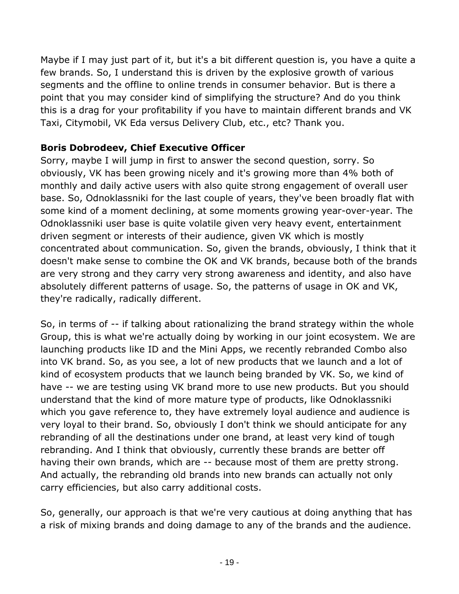Maybe if I may just part of it, but it's a bit different question is, you have a quite a few brands. So, I understand this is driven by the explosive growth of various segments and the offline to online trends in consumer behavior. But is there a point that you may consider kind of simplifying the structure? And do you think this is a drag for your profitability if you have to maintain different brands and VK Taxi, Citymobil, VK Eda versus Delivery Club, etc., etc? Thank you.

## **Boris Dobrodeev, Chief Executive Officer**

Sorry, maybe I will jump in first to answer the second question, sorry. So obviously, VK has been growing nicely and it's growing more than 4% both of monthly and daily active users with also quite strong engagement of overall user base. So, Odnoklassniki for the last couple of years, they've been broadly flat with some kind of a moment declining, at some moments growing year-over-year. The Odnoklassniki user base is quite volatile given very heavy event, entertainment driven segment or interests of their audience, given VK which is mostly concentrated about communication. So, given the brands, obviously, I think that it doesn't make sense to combine the OK and VK brands, because both of the brands are very strong and they carry very strong awareness and identity, and also have absolutely different patterns of usage. So, the patterns of usage in OK and VK, they're radically, radically different.

So, in terms of -- if talking about rationalizing the brand strategy within the whole Group, this is what we're actually doing by working in our joint ecosystem. We are launching products like ID and the Mini Apps, we recently rebranded Combo also into VK brand. So, as you see, a lot of new products that we launch and a lot of kind of ecosystem products that we launch being branded by VK. So, we kind of have -- we are testing using VK brand more to use new products. But you should understand that the kind of more mature type of products, like Odnoklassniki which you gave reference to, they have extremely loyal audience and audience is very loyal to their brand. So, obviously I don't think we should anticipate for any rebranding of all the destinations under one brand, at least very kind of tough rebranding. And I think that obviously, currently these brands are better off having their own brands, which are -- because most of them are pretty strong. And actually, the rebranding old brands into new brands can actually not only carry efficiencies, but also carry additional costs.

So, generally, our approach is that we're very cautious at doing anything that has a risk of mixing brands and doing damage to any of the brands and the audience.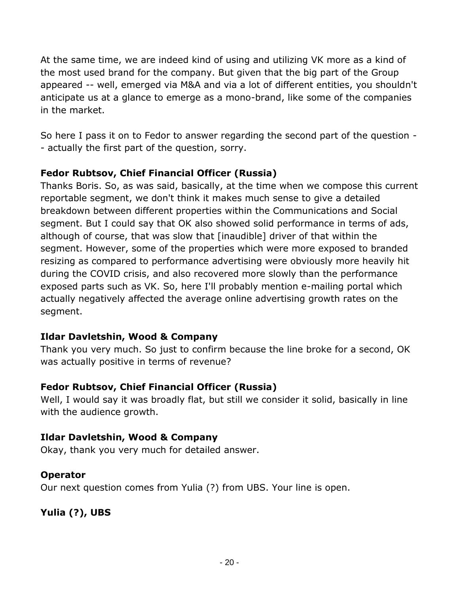At the same time, we are indeed kind of using and utilizing VK more as a kind of the most used brand for the company. But given that the big part of the Group appeared -- well, emerged via M&A and via a lot of different entities, you shouldn't anticipate us at a glance to emerge as a mono-brand, like some of the companies in the market.

So here I pass it on to Fedor to answer regarding the second part of the question - - actually the first part of the question, sorry.

## **Fedor Rubtsov, Chief Financial Officer (Russia)**

Thanks Boris. So, as was said, basically, at the time when we compose this current reportable segment, we don't think it makes much sense to give a detailed breakdown between different properties within the Communications and Social segment. But I could say that OK also showed solid performance in terms of ads, although of course, that was slow that [inaudible] driver of that within the segment. However, some of the properties which were more exposed to branded resizing as compared to performance advertising were obviously more heavily hit during the COVID crisis, and also recovered more slowly than the performance exposed parts such as VK. So, here I'll probably mention e-mailing portal which actually negatively affected the average online advertising growth rates on the segment.

#### **Ildar Davletshin, Wood & Company**

Thank you very much. So just to confirm because the line broke for a second, OK was actually positive in terms of revenue?

## **Fedor Rubtsov, Chief Financial Officer (Russia)**

Well, I would say it was broadly flat, but still we consider it solid, basically in line with the audience growth.

## **Ildar Davletshin, Wood & Company**

Okay, thank you very much for detailed answer.

## **Operator**

Our next question comes from Yulia (?) from UBS. Your line is open.

**Yulia (?), UBS**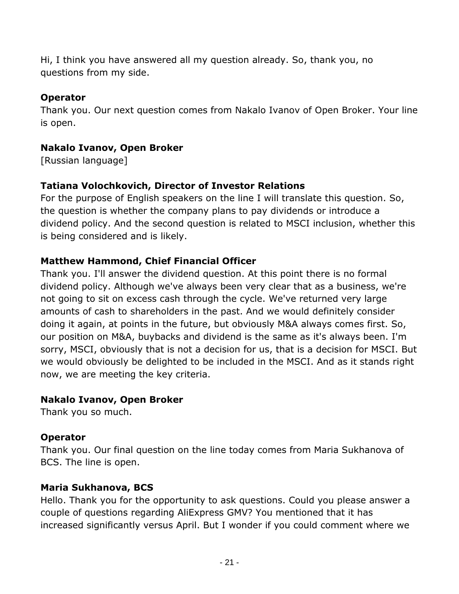Hi, I think you have answered all my question already. So, thank you, no questions from my side.

## **Operator**

Thank you. Our next question comes from Nakalo Ivanov of Open Broker. Your line is open.

## **Nakalo Ivanov, Open Broker**

[Russian language]

## **Tatiana Volochkovich, Director of Investor Relations**

For the purpose of English speakers on the line I will translate this question. So, the question is whether the company plans to pay dividends or introduce a dividend policy. And the second question is related to MSCI inclusion, whether this is being considered and is likely.

## **Matthew Hammond, Chief Financial Officer**

Thank you. I'll answer the dividend question. At this point there is no formal dividend policy. Although we've always been very clear that as a business, we're not going to sit on excess cash through the cycle. We've returned very large amounts of cash to shareholders in the past. And we would definitely consider doing it again, at points in the future, but obviously M&A always comes first. So, our position on M&A, buybacks and dividend is the same as it's always been. I'm sorry, MSCI, obviously that is not a decision for us, that is a decision for MSCI. But we would obviously be delighted to be included in the MSCI. And as it stands right now, we are meeting the key criteria.

#### **Nakalo Ivanov, Open Broker**

Thank you so much.

## **Operator**

Thank you. Our final question on the line today comes from Maria Sukhanova of BCS. The line is open.

#### **Maria Sukhanova, BCS**

Hello. Thank you for the opportunity to ask questions. Could you please answer a couple of questions regarding AliExpress GMV? You mentioned that it has increased significantly versus April. But I wonder if you could comment where we